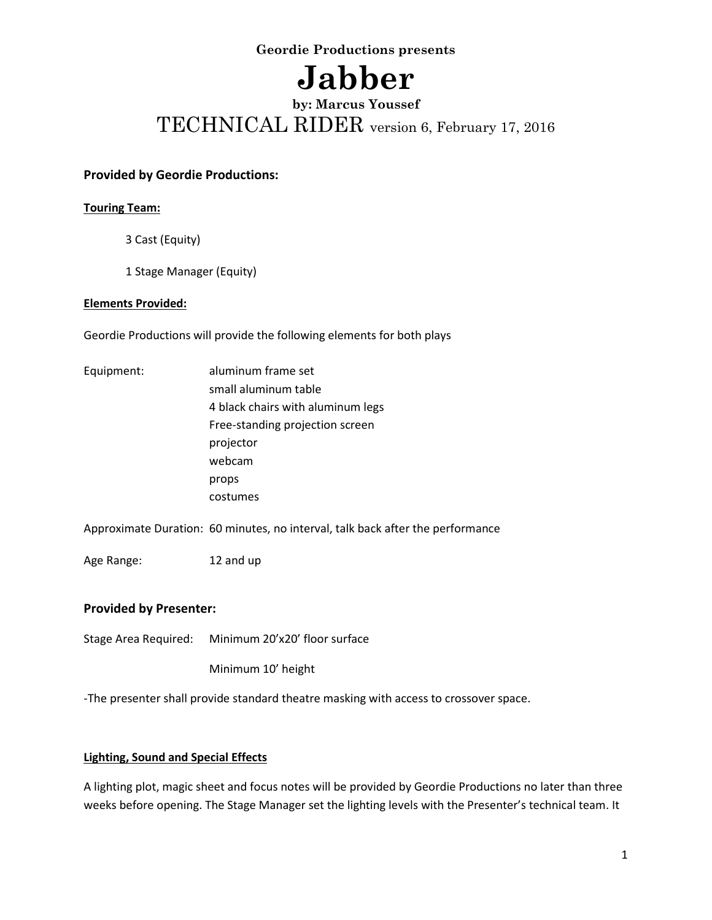**Geordie Productions presents** 

# **Jabber**

### **by: Marcus Youssef** TECHNICAL RIDER version 6, February 17, 2016

#### **Provided by Geordie Productions:**

#### **Touring Team:**

3 Cast (Equity)

1 Stage Manager (Equity)

#### **Elements Provided:**

Geordie Productions will provide the following elements for both plays

Equipment: aluminum frame set small aluminum table 4 black chairs with aluminum legs Free-standing projection screen projector webcam props costumes

Approximate Duration: 60 minutes, no interval, talk back after the performance

Age Range: 12 and up

#### **Provided by Presenter:**

Stage Area Required: Minimum 20'x20' floor surface

Minimum 10' height

-The presenter shall provide standard theatre masking with access to crossover space.

#### **Lighting, Sound and Special Effects**

A lighting plot, magic sheet and focus notes will be provided by Geordie Productions no later than three weeks before opening. The Stage Manager set the lighting levels with the Presenter's technical team. It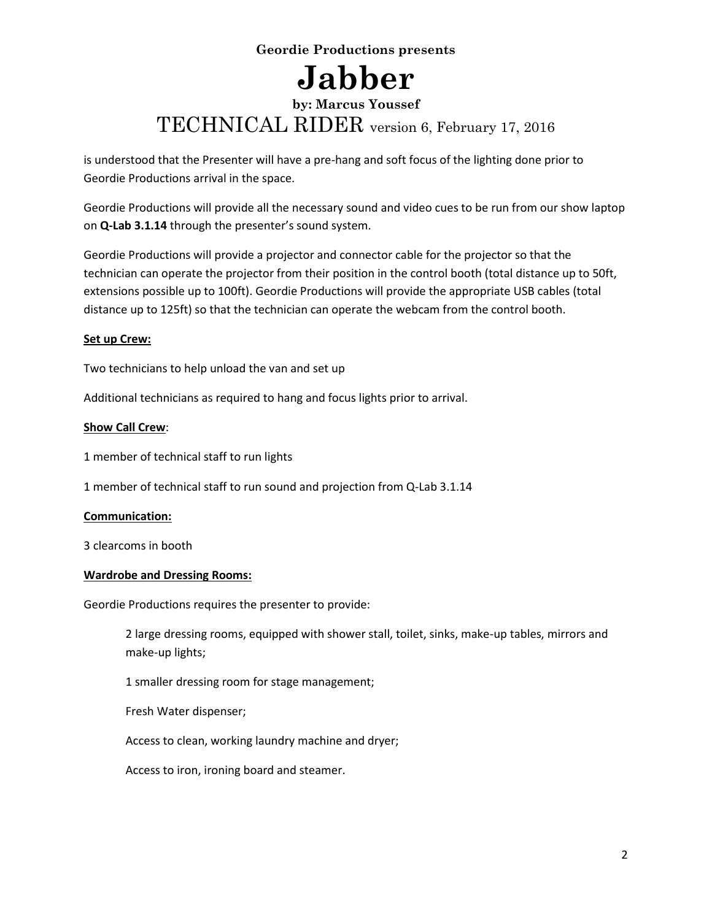### **Geordie Productions presents Jabber by: Marcus Youssef** TECHNICAL RIDER version 6, February 17, 2016

is understood that the Presenter will have a pre-hang and soft focus of the lighting done prior to Geordie Productions arrival in the space.

Geordie Productions will provide all the necessary sound and video cues to be run from our show laptop on **Q-Lab 3.1.14** through the presenter's sound system.

Geordie Productions will provide a projector and connector cable for the projector so that the technician can operate the projector from their position in the control booth (total distance up to 50ft, extensions possible up to 100ft). Geordie Productions will provide the appropriate USB cables (total distance up to 125ft) so that the technician can operate the webcam from the control booth.

#### **Set up Crew:**

Two technicians to help unload the van and set up

Additional technicians as required to hang and focus lights prior to arrival.

#### **Show Call Crew**:

1 member of technical staff to run lights

1 member of technical staff to run sound and projection from Q-Lab 3.1.14

#### **Communication:**

3 clearcoms in booth

#### **Wardrobe and Dressing Rooms:**

Geordie Productions requires the presenter to provide:

2 large dressing rooms, equipped with shower stall, toilet, sinks, make-up tables, mirrors and make-up lights;

1 smaller dressing room for stage management;

Fresh Water dispenser;

Access to clean, working laundry machine and dryer;

Access to iron, ironing board and steamer.